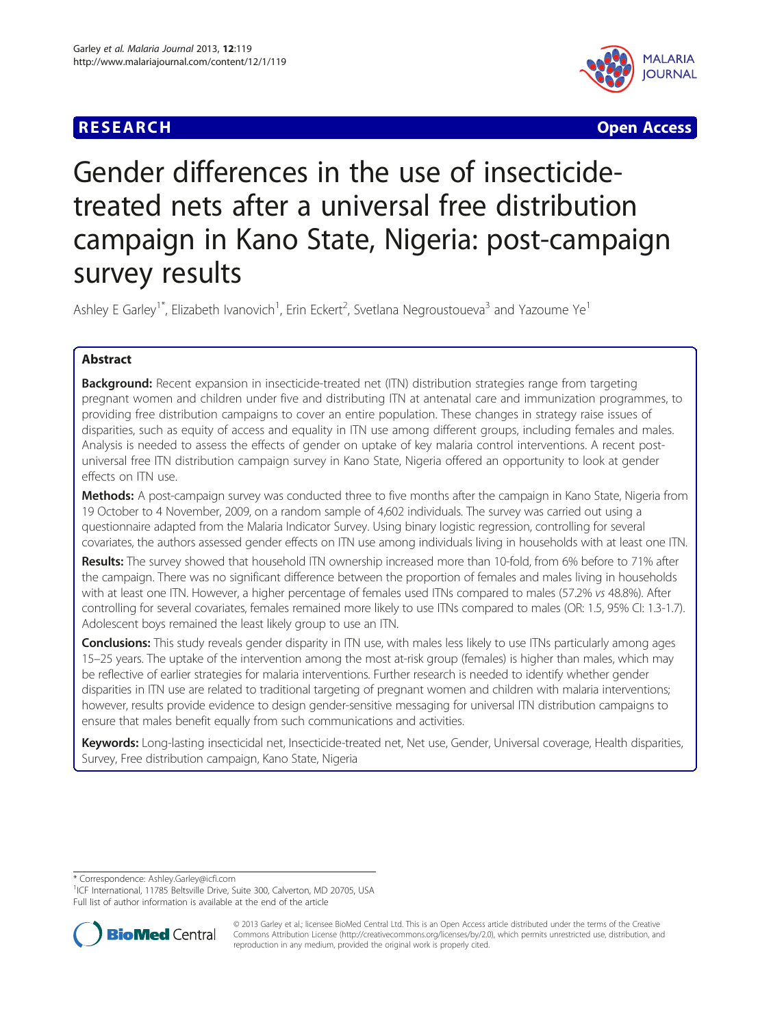## **RESEARCH CHE CHE Open Access**



# Gender differences in the use of insecticidetreated nets after a universal free distribution campaign in Kano State, Nigeria: post-campaign survey results

Ashley E Garley<sup>1\*</sup>, Elizabeth Ivanovich<sup>1</sup>, Erin Eckert<sup>2</sup>, Svetlana Negroustoueva<sup>3</sup> and Yazoume Ye<sup>1</sup>

## Abstract

Background: Recent expansion in insecticide-treated net (ITN) distribution strategies range from targeting pregnant women and children under five and distributing ITN at antenatal care and immunization programmes, to providing free distribution campaigns to cover an entire population. These changes in strategy raise issues of disparities, such as equity of access and equality in ITN use among different groups, including females and males. Analysis is needed to assess the effects of gender on uptake of key malaria control interventions. A recent postuniversal free ITN distribution campaign survey in Kano State, Nigeria offered an opportunity to look at gender effects on ITN use.

Methods: A post-campaign survey was conducted three to five months after the campaign in Kano State, Nigeria from 19 October to 4 November, 2009, on a random sample of 4,602 individuals. The survey was carried out using a questionnaire adapted from the Malaria Indicator Survey. Using binary logistic regression, controlling for several covariates, the authors assessed gender effects on ITN use among individuals living in households with at least one ITN.

Results: The survey showed that household ITN ownership increased more than 10-fold, from 6% before to 71% after the campaign. There was no significant difference between the proportion of females and males living in households with at least one ITN. However, a higher percentage of females used ITNs compared to males (57.2% vs 48.8%). After controlling for several covariates, females remained more likely to use ITNs compared to males (OR: 1.5, 95% CI: 1.3-1.7). Adolescent boys remained the least likely group to use an ITN.

**Conclusions:** This study reveals gender disparity in ITN use, with males less likely to use ITNs particularly among ages 15–25 years. The uptake of the intervention among the most at-risk group (females) is higher than males, which may be reflective of earlier strategies for malaria interventions. Further research is needed to identify whether gender disparities in ITN use are related to traditional targeting of pregnant women and children with malaria interventions; however, results provide evidence to design gender-sensitive messaging for universal ITN distribution campaigns to ensure that males benefit equally from such communications and activities.

Keywords: Long-lasting insecticidal net, Insecticide-treated net, Net use, Gender, Universal coverage, Health disparities, Survey, Free distribution campaign, Kano State, Nigeria

\* Correspondence: [Ashley.Garley@icfi.com](mailto:Ashley.Garley@icfi.com) <sup>1</sup>

<sup>1</sup>ICF International, 11785 Beltsville Drive, Suite 300, Calverton, MD 20705, USA Full list of author information is available at the end of the article



© 2013 Garley et al.; licensee BioMed Central Ltd. This is an Open Access article distributed under the terms of the Creative Commons Attribution License [\(http://creativecommons.org/licenses/by/2.0\)](http://creativecommons.org/licenses/by/2.0), which permits unrestricted use, distribution, and reproduction in any medium, provided the original work is properly cited.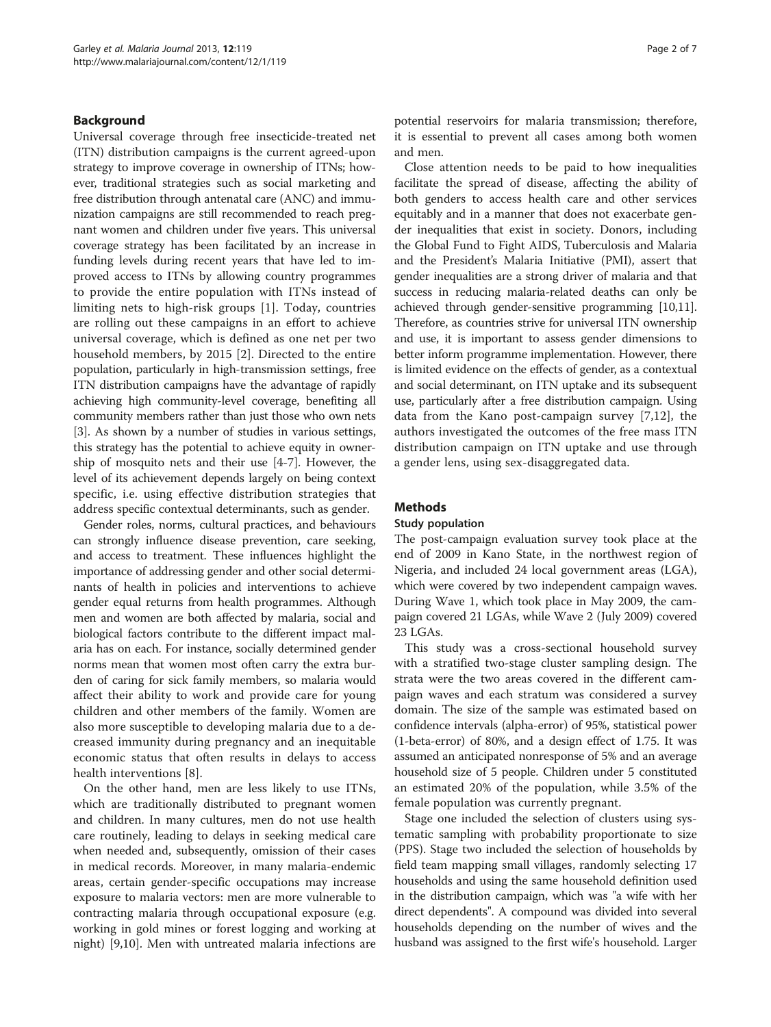## Background

Universal coverage through free insecticide-treated net (ITN) distribution campaigns is the current agreed-upon strategy to improve coverage in ownership of ITNs; however, traditional strategies such as social marketing and free distribution through antenatal care (ANC) and immunization campaigns are still recommended to reach pregnant women and children under five years. This universal coverage strategy has been facilitated by an increase in funding levels during recent years that have led to improved access to ITNs by allowing country programmes to provide the entire population with ITNs instead of limiting nets to high-risk groups [[1\]](#page-6-0). Today, countries are rolling out these campaigns in an effort to achieve universal coverage, which is defined as one net per two household members, by 2015 [[2\]](#page-6-0). Directed to the entire population, particularly in high-transmission settings, free ITN distribution campaigns have the advantage of rapidly achieving high community-level coverage, benefiting all community members rather than just those who own nets [[3\]](#page-6-0). As shown by a number of studies in various settings, this strategy has the potential to achieve equity in ownership of mosquito nets and their use [\[4-7](#page-6-0)]. However, the level of its achievement depends largely on being context specific, i.e. using effective distribution strategies that address specific contextual determinants, such as gender.

Gender roles, norms, cultural practices, and behaviours can strongly influence disease prevention, care seeking, and access to treatment. These influences highlight the importance of addressing gender and other social determinants of health in policies and interventions to achieve gender equal returns from health programmes. Although men and women are both affected by malaria, social and biological factors contribute to the different impact malaria has on each. For instance, socially determined gender norms mean that women most often carry the extra burden of caring for sick family members, so malaria would affect their ability to work and provide care for young children and other members of the family. Women are also more susceptible to developing malaria due to a decreased immunity during pregnancy and an inequitable economic status that often results in delays to access health interventions [[8](#page-6-0)].

On the other hand, men are less likely to use ITNs, which are traditionally distributed to pregnant women and children. In many cultures, men do not use health care routinely, leading to delays in seeking medical care when needed and, subsequently, omission of their cases in medical records. Moreover, in many malaria-endemic areas, certain gender-specific occupations may increase exposure to malaria vectors: men are more vulnerable to contracting malaria through occupational exposure (e.g. working in gold mines or forest logging and working at night) [[9,10\]](#page-6-0). Men with untreated malaria infections are

potential reservoirs for malaria transmission; therefore, it is essential to prevent all cases among both women and men.

Close attention needs to be paid to how inequalities facilitate the spread of disease, affecting the ability of both genders to access health care and other services equitably and in a manner that does not exacerbate gender inequalities that exist in society. Donors, including the Global Fund to Fight AIDS, Tuberculosis and Malaria and the President's Malaria Initiative (PMI), assert that gender inequalities are a strong driver of malaria and that success in reducing malaria-related deaths can only be achieved through gender-sensitive programming [\[10,11](#page-6-0)]. Therefore, as countries strive for universal ITN ownership and use, it is important to assess gender dimensions to better inform programme implementation. However, there is limited evidence on the effects of gender, as a contextual and social determinant, on ITN uptake and its subsequent use, particularly after a free distribution campaign. Using data from the Kano post-campaign survey [[7,12](#page-6-0)], the authors investigated the outcomes of the free mass ITN distribution campaign on ITN uptake and use through a gender lens, using sex-disaggregated data.

#### **Methods**

#### Study population

The post-campaign evaluation survey took place at the end of 2009 in Kano State, in the northwest region of Nigeria, and included 24 local government areas (LGA), which were covered by two independent campaign waves. During Wave 1, which took place in May 2009, the campaign covered 21 LGAs, while Wave 2 (July 2009) covered 23 LGAs.

This study was a cross-sectional household survey with a stratified two-stage cluster sampling design. The strata were the two areas covered in the different campaign waves and each stratum was considered a survey domain. The size of the sample was estimated based on confidence intervals (alpha-error) of 95%, statistical power (1-beta-error) of 80%, and a design effect of 1.75. It was assumed an anticipated nonresponse of 5% and an average household size of 5 people. Children under 5 constituted an estimated 20% of the population, while 3.5% of the female population was currently pregnant.

Stage one included the selection of clusters using systematic sampling with probability proportionate to size (PPS). Stage two included the selection of households by field team mapping small villages, randomly selecting 17 households and using the same household definition used in the distribution campaign, which was "a wife with her direct dependents". A compound was divided into several households depending on the number of wives and the husband was assigned to the first wife's household. Larger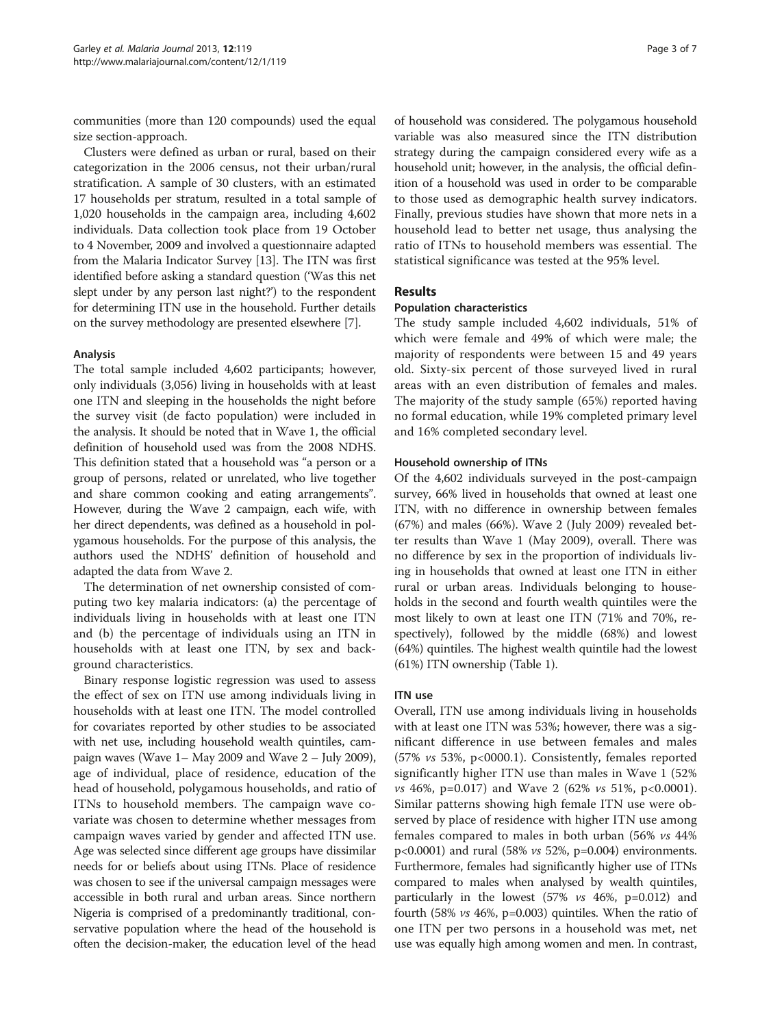communities (more than 120 compounds) used the equal size section-approach.

Clusters were defined as urban or rural, based on their categorization in the 2006 census, not their urban/rural stratification. A sample of 30 clusters, with an estimated 17 households per stratum, resulted in a total sample of 1,020 households in the campaign area, including 4,602 individuals. Data collection took place from 19 October to 4 November, 2009 and involved a questionnaire adapted from the Malaria Indicator Survey [\[13](#page-6-0)]. The ITN was first identified before asking a standard question ('Was this net slept under by any person last night?') to the respondent for determining ITN use in the household. Further details on the survey methodology are presented elsewhere [\[7\]](#page-6-0).

## Analysis

The total sample included 4,602 participants; however, only individuals (3,056) living in households with at least one ITN and sleeping in the households the night before the survey visit (de facto population) were included in the analysis. It should be noted that in Wave 1, the official definition of household used was from the 2008 NDHS. This definition stated that a household was "a person or a group of persons, related or unrelated, who live together and share common cooking and eating arrangements". However, during the Wave 2 campaign, each wife, with her direct dependents, was defined as a household in polygamous households. For the purpose of this analysis, the authors used the NDHS' definition of household and adapted the data from Wave 2.

The determination of net ownership consisted of computing two key malaria indicators: (a) the percentage of individuals living in households with at least one ITN and (b) the percentage of individuals using an ITN in households with at least one ITN, by sex and background characteristics.

Binary response logistic regression was used to assess the effect of sex on ITN use among individuals living in households with at least one ITN. The model controlled for covariates reported by other studies to be associated with net use, including household wealth quintiles, campaign waves (Wave 1– May 2009 and Wave 2 – July 2009), age of individual, place of residence, education of the head of household, polygamous households, and ratio of ITNs to household members. The campaign wave covariate was chosen to determine whether messages from campaign waves varied by gender and affected ITN use. Age was selected since different age groups have dissimilar needs for or beliefs about using ITNs. Place of residence was chosen to see if the universal campaign messages were accessible in both rural and urban areas. Since northern Nigeria is comprised of a predominantly traditional, conservative population where the head of the household is often the decision-maker, the education level of the head

of household was considered. The polygamous household variable was also measured since the ITN distribution strategy during the campaign considered every wife as a household unit; however, in the analysis, the official definition of a household was used in order to be comparable to those used as demographic health survey indicators. Finally, previous studies have shown that more nets in a household lead to better net usage, thus analysing the ratio of ITNs to household members was essential. The statistical significance was tested at the 95% level.

## Results

#### Population characteristics

The study sample included 4,602 individuals, 51% of which were female and 49% of which were male; the majority of respondents were between 15 and 49 years old. Sixty-six percent of those surveyed lived in rural areas with an even distribution of females and males. The majority of the study sample (65%) reported having no formal education, while 19% completed primary level and 16% completed secondary level.

#### Household ownership of ITNs

Of the 4,602 individuals surveyed in the post-campaign survey, 66% lived in households that owned at least one ITN, with no difference in ownership between females (67%) and males (66%). Wave 2 (July 2009) revealed better results than Wave 1 (May 2009), overall. There was no difference by sex in the proportion of individuals living in households that owned at least one ITN in either rural or urban areas. Individuals belonging to households in the second and fourth wealth quintiles were the most likely to own at least one ITN (71% and 70%, respectively), followed by the middle (68%) and lowest (64%) quintiles. The highest wealth quintile had the lowest (61%) ITN ownership (Table [1\)](#page-3-0).

#### ITN use

Overall, ITN use among individuals living in households with at least one ITN was 53%; however, there was a significant difference in use between females and males (57% vs 53%, p<0000.1). Consistently, females reported significantly higher ITN use than males in Wave 1 (52% *vs* 46%, p=0.017) and Wave 2 (62% *vs* 51%, p<0.0001). Similar patterns showing high female ITN use were observed by place of residence with higher ITN use among females compared to males in both urban (56% vs 44% p<0.0001) and rural (58% vs 52%, p=0.004) environments. Furthermore, females had significantly higher use of ITNs compared to males when analysed by wealth quintiles, particularly in the lowest (57% vs 46%, p=0.012) and fourth (58%  $\nu s$  46%, p=0.003) quintiles. When the ratio of one ITN per two persons in a household was met, net use was equally high among women and men. In contrast,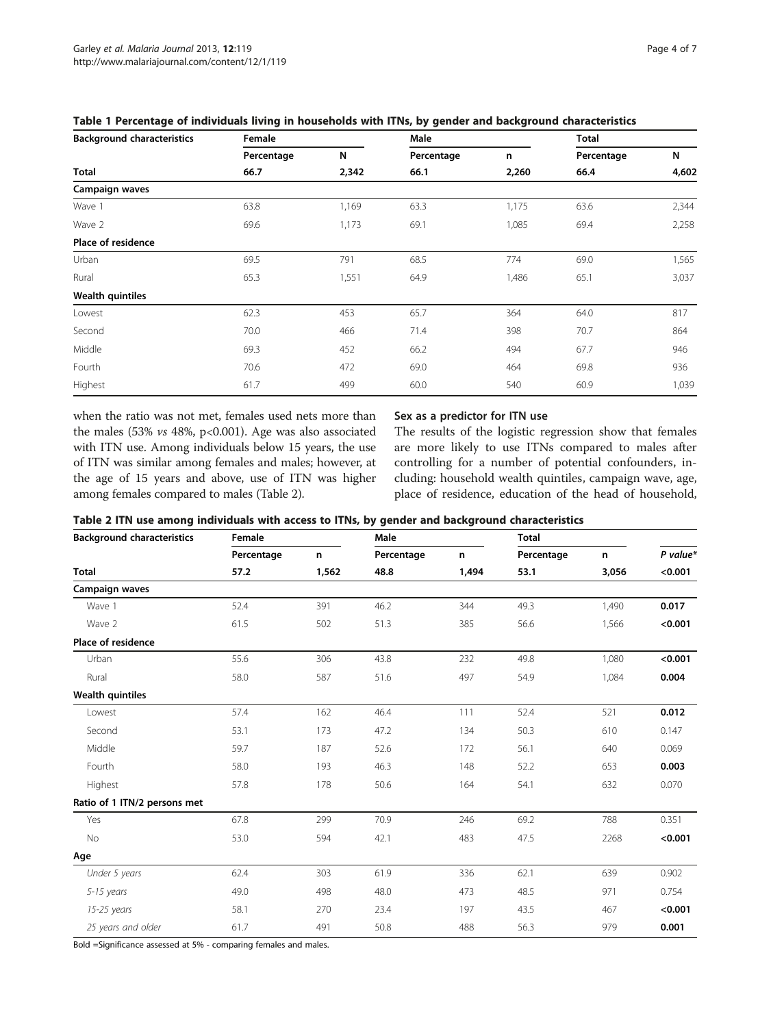| <b>Background characteristics</b> | Female     |       | Male       |       | Total              |            |
|-----------------------------------|------------|-------|------------|-------|--------------------|------------|
|                                   | Percentage | N     | Percentage | n     | Percentage<br>66.4 | N<br>4,602 |
| <b>Total</b>                      | 66.7       | 2,342 | 66.1       | 2,260 |                    |            |
| Campaign waves                    |            |       |            |       |                    |            |
| Wave 1                            | 63.8       | 1,169 | 63.3       | 1,175 | 63.6               | 2,344      |
| Wave 2                            | 69.6       | 1,173 | 69.1       | 1,085 | 69.4               | 2,258      |
| Place of residence                |            |       |            |       |                    |            |
| Urban                             | 69.5       | 791   | 68.5       | 774   | 69.0               | 1,565      |
| Rural                             | 65.3       | 1,551 | 64.9       | 1,486 | 65.1               | 3,037      |
| <b>Wealth quintiles</b>           |            |       |            |       |                    |            |
| Lowest                            | 62.3       | 453   | 65.7       | 364   | 64.0               | 817        |
| Second                            | 70.0       | 466   | 71.4       | 398   | 70.7               | 864        |
| Middle                            | 69.3       | 452   | 66.2       | 494   | 67.7               | 946        |
| Fourth                            | 70.6       | 472   | 69.0       | 464   | 69.8               | 936        |
| Highest                           | 61.7       | 499   | 60.0       | 540   | 60.9               | 1,039      |

<span id="page-3-0"></span>

|  |  |  |  | Table 1 Percentage of individuals living in households with ITNs, by gender and background characteristics |
|--|--|--|--|------------------------------------------------------------------------------------------------------------|
|--|--|--|--|------------------------------------------------------------------------------------------------------------|

when the ratio was not met, females used nets more than the males (53%  $vs$  48%, p<0.001). Age was also associated with ITN use. Among individuals below 15 years, the use of ITN was similar among females and males; however, at the age of 15 years and above, use of ITN was higher among females compared to males (Table 2).

#### Sex as a predictor for ITN use

The results of the logistic regression show that females are more likely to use ITNs compared to males after controlling for a number of potential confounders, including: household wealth quintiles, campaign wave, age, place of residence, education of the head of household,

## Table 2 ITN use among individuals with access to ITNs, by gender and background characteristics

| <b>Background characteristics</b> | Female     |       | Male       |              | <b>Total</b> |       |          |
|-----------------------------------|------------|-------|------------|--------------|--------------|-------|----------|
|                                   | Percentage | n     | Percentage | $\mathsf{n}$ | Percentage   | n     | P value* |
| <b>Total</b>                      | 57.2       | 1,562 | 48.8       | 1,494        | 53.1         | 3,056 | < 0.001  |
| Campaign waves                    |            |       |            |              |              |       |          |
| Wave 1                            | 52.4       | 391   | 46.2       | 344          | 49.3         | 1,490 | 0.017    |
| Wave 2                            | 61.5       | 502   | 51.3       | 385          | 56.6         | 1,566 | < 0.001  |
| Place of residence                |            |       |            |              |              |       |          |
| Urban                             | 55.6       | 306   | 43.8       | 232          | 49.8         | 1,080 | < 0.001  |
| Rural                             | 58.0       | 587   | 51.6       | 497          | 54.9         | 1,084 | 0.004    |
| <b>Wealth quintiles</b>           |            |       |            |              |              |       |          |
| Lowest                            | 57.4       | 162   | 46.4       | 111          | 52.4         | 521   | 0.012    |
| Second                            | 53.1       | 173   | 47.2       | 134          | 50.3         | 610   | 0.147    |
| Middle                            | 59.7       | 187   | 52.6       | 172          | 56.1         | 640   | 0.069    |
| Fourth                            | 58.0       | 193   | 46.3       | 148          | 52.2         | 653   | 0.003    |
| Highest                           | 57.8       | 178   | 50.6       | 164          | 54.1         | 632   | 0.070    |
| Ratio of 1 ITN/2 persons met      |            |       |            |              |              |       |          |
| Yes                               | 67.8       | 299   | 70.9       | 246          | 69.2         | 788   | 0.351    |
| No                                | 53.0       | 594   | 42.1       | 483          | 47.5         | 2268  | < 0.001  |
| Age                               |            |       |            |              |              |       |          |
| Under 5 years                     | 62.4       | 303   | 61.9       | 336          | 62.1         | 639   | 0.902    |
| 5-15 years                        | 49.0       | 498   | 48.0       | 473          | 48.5         | 971   | 0.754    |
| 15-25 years                       | 58.1       | 270   | 23.4       | 197          | 43.5         | 467   | < 0.001  |
| 25 years and older                | 61.7       | 491   | 50.8       | 488          | 56.3         | 979   | 0.001    |

Bold =Significance assessed at 5% - comparing females and males.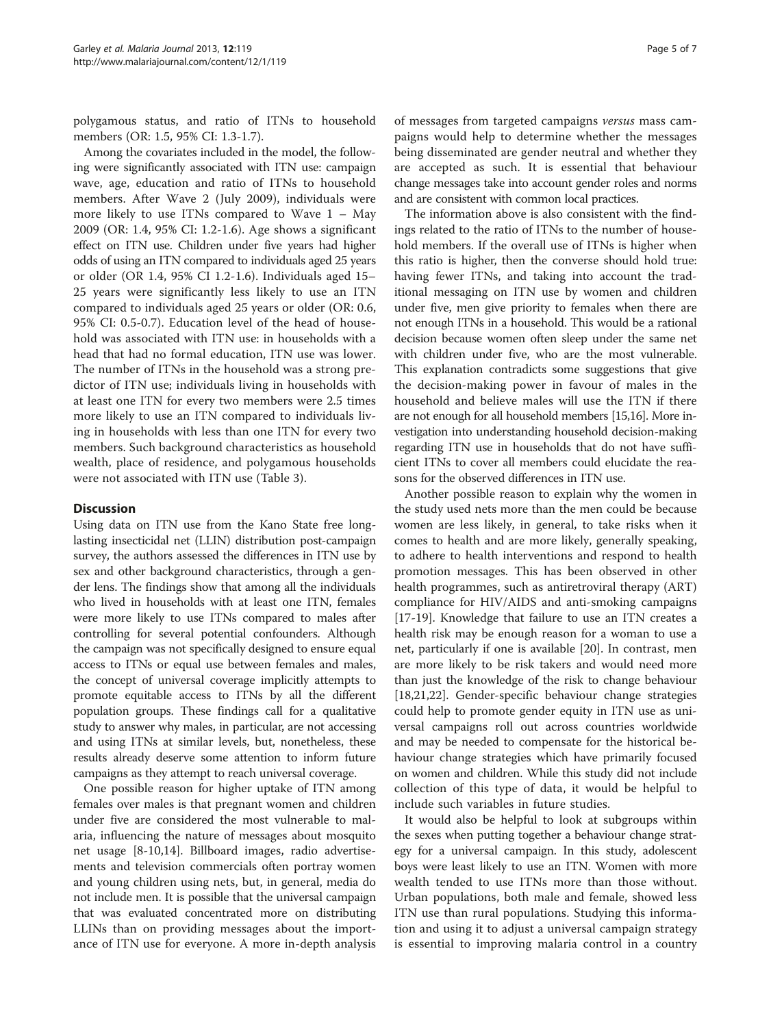polygamous status, and ratio of ITNs to household members (OR: 1.5, 95% CI: 1.3-1.7).

Among the covariates included in the model, the following were significantly associated with ITN use: campaign wave, age, education and ratio of ITNs to household members. After Wave 2 (July 2009), individuals were more likely to use ITNs compared to Wave  $1 - May$ 2009 (OR: 1.4, 95% CI: 1.2-1.6). Age shows a significant effect on ITN use. Children under five years had higher odds of using an ITN compared to individuals aged 25 years or older (OR 1.4, 95% CI 1.2-1.6). Individuals aged 15– 25 years were significantly less likely to use an ITN compared to individuals aged 25 years or older (OR: 0.6, 95% CI: 0.5-0.7). Education level of the head of household was associated with ITN use: in households with a head that had no formal education, ITN use was lower. The number of ITNs in the household was a strong predictor of ITN use; individuals living in households with at least one ITN for every two members were 2.5 times more likely to use an ITN compared to individuals living in households with less than one ITN for every two members. Such background characteristics as household wealth, place of residence, and polygamous households were not associated with ITN use (Table [3\)](#page-5-0).

## **Discussion**

Using data on ITN use from the Kano State free longlasting insecticidal net (LLIN) distribution post-campaign survey, the authors assessed the differences in ITN use by sex and other background characteristics, through a gender lens. The findings show that among all the individuals who lived in households with at least one ITN, females were more likely to use ITNs compared to males after controlling for several potential confounders. Although the campaign was not specifically designed to ensure equal access to ITNs or equal use between females and males, the concept of universal coverage implicitly attempts to promote equitable access to ITNs by all the different population groups. These findings call for a qualitative study to answer why males, in particular, are not accessing and using ITNs at similar levels, but, nonetheless, these results already deserve some attention to inform future campaigns as they attempt to reach universal coverage.

One possible reason for higher uptake of ITN among females over males is that pregnant women and children under five are considered the most vulnerable to malaria, influencing the nature of messages about mosquito net usage [[8-10,14](#page-6-0)]. Billboard images, radio advertisements and television commercials often portray women and young children using nets, but, in general, media do not include men. It is possible that the universal campaign that was evaluated concentrated more on distributing LLINs than on providing messages about the importance of ITN use for everyone. A more in-depth analysis

of messages from targeted campaigns versus mass campaigns would help to determine whether the messages being disseminated are gender neutral and whether they are accepted as such. It is essential that behaviour change messages take into account gender roles and norms and are consistent with common local practices.

The information above is also consistent with the findings related to the ratio of ITNs to the number of household members. If the overall use of ITNs is higher when this ratio is higher, then the converse should hold true: having fewer ITNs, and taking into account the traditional messaging on ITN use by women and children under five, men give priority to females when there are not enough ITNs in a household. This would be a rational decision because women often sleep under the same net with children under five, who are the most vulnerable. This explanation contradicts some suggestions that give the decision-making power in favour of males in the household and believe males will use the ITN if there are not enough for all household members [\[15,16](#page-6-0)]. More investigation into understanding household decision-making regarding ITN use in households that do not have sufficient ITNs to cover all members could elucidate the reasons for the observed differences in ITN use.

Another possible reason to explain why the women in the study used nets more than the men could be because women are less likely, in general, to take risks when it comes to health and are more likely, generally speaking, to adhere to health interventions and respond to health promotion messages. This has been observed in other health programmes, such as antiretroviral therapy (ART) compliance for HIV/AIDS and anti-smoking campaigns [[17-19](#page-6-0)]. Knowledge that failure to use an ITN creates a health risk may be enough reason for a woman to use a net, particularly if one is available [\[20\]](#page-6-0). In contrast, men are more likely to be risk takers and would need more than just the knowledge of the risk to change behaviour [[18,21,22\]](#page-6-0). Gender-specific behaviour change strategies could help to promote gender equity in ITN use as universal campaigns roll out across countries worldwide and may be needed to compensate for the historical behaviour change strategies which have primarily focused on women and children. While this study did not include collection of this type of data, it would be helpful to include such variables in future studies.

It would also be helpful to look at subgroups within the sexes when putting together a behaviour change strategy for a universal campaign. In this study, adolescent boys were least likely to use an ITN. Women with more wealth tended to use ITNs more than those without. Urban populations, both male and female, showed less ITN use than rural populations. Studying this information and using it to adjust a universal campaign strategy is essential to improving malaria control in a country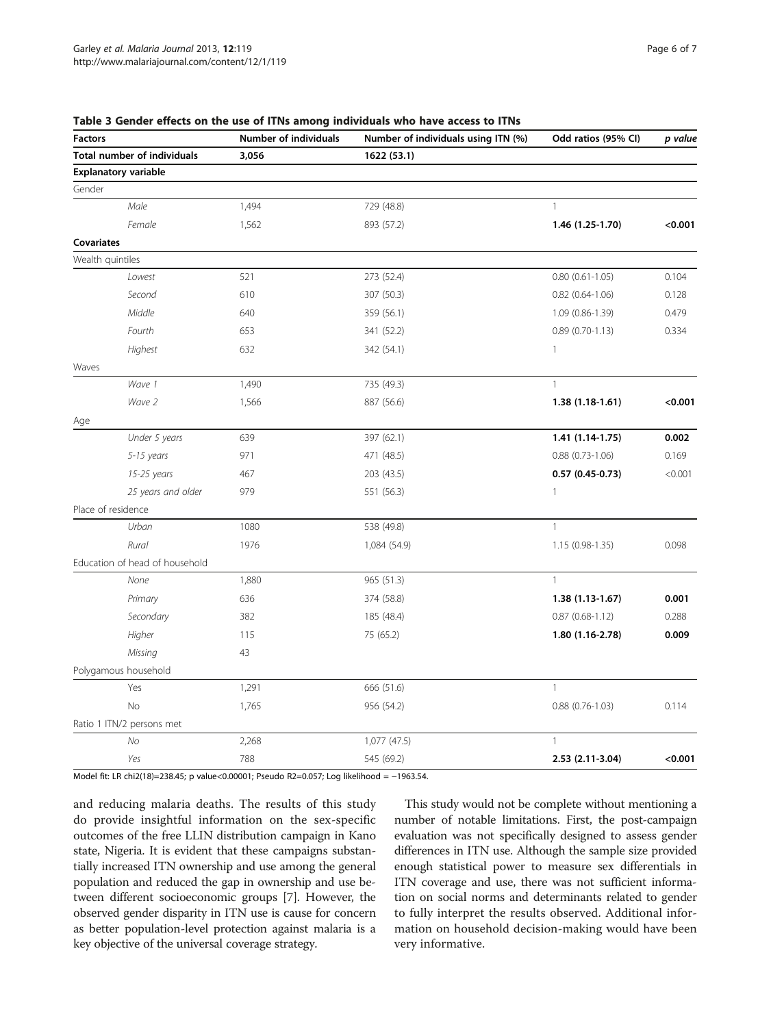| <b>Factors</b>                              |                                | Number of individuals | Number of individuals using ITN (%) | Odd ratios (95% CI)    | p value |
|---------------------------------------------|--------------------------------|-----------------------|-------------------------------------|------------------------|---------|
| <b>Total number of individuals</b><br>3,056 |                                |                       | 1622 (53.1)                         |                        |         |
|                                             | <b>Explanatory variable</b>    |                       |                                     |                        |         |
| Gender                                      |                                |                       |                                     |                        |         |
|                                             | Male                           | 1,494                 | 729 (48.8)                          | $\mathbf{1}$           |         |
|                                             | Female                         | 1,562                 | 893 (57.2)                          | 1.46 (1.25-1.70)       | < 0.001 |
| Covariates                                  |                                |                       |                                     |                        |         |
| Wealth quintiles                            |                                |                       |                                     |                        |         |
|                                             | Lowest                         | 521                   | 273 (52.4)                          | $0.80(0.61-1.05)$      | 0.104   |
|                                             | Second                         | 610                   | 307 (50.3)                          | $0.82$ $(0.64 - 1.06)$ | 0.128   |
|                                             | Middle                         | 640                   | 359 (56.1)                          | 1.09 (0.86-1.39)       | 0.479   |
|                                             | Fourth                         | 653                   | 341 (52.2)                          | $0.89(0.70-1.13)$      | 0.334   |
|                                             | Highest                        | 632                   | 342 (54.1)                          | $\mathbf{1}$           |         |
| Waves                                       |                                |                       |                                     |                        |         |
|                                             | Wave 1                         | 1,490                 | 735 (49.3)                          | $\mathbf{1}$           |         |
|                                             | Wave 2                         | 1,566                 | 887 (56.6)                          | $1.38(1.18-1.61)$      | < 0.001 |
| Age                                         |                                |                       |                                     |                        |         |
|                                             | Under 5 years                  | 639                   | 397 (62.1)                          | 1.41 (1.14-1.75)       | 0.002   |
|                                             | 5-15 years                     | 971                   | 471 (48.5)                          | $0.88$ $(0.73-1.06)$   | 0.169   |
|                                             | 15-25 years                    | 467                   | 203 (43.5)                          | $0.57(0.45-0.73)$      | < 0.001 |
|                                             | 25 years and older             | 979                   | 551 (56.3)                          | $\mathbf{1}$           |         |
| Place of residence                          |                                |                       |                                     |                        |         |
|                                             | Urban                          | 1080                  | 538 (49.8)                          | $\mathbf{1}$           |         |
|                                             | Rural                          | 1976                  | 1,084 (54.9)                        | 1.15 (0.98-1.35)       | 0.098   |
|                                             | Education of head of household |                       |                                     |                        |         |
|                                             | None                           | 1,880                 | 965 (51.3)                          | $\mathbf{1}$           |         |
|                                             | Primary                        | 636                   | 374 (58.8)                          | $1.38(1.13-1.67)$      | 0.001   |
|                                             | Secondary                      | 382                   | 185 (48.4)                          | $0.87(0.68-1.12)$      | 0.288   |
|                                             | Higher                         | 115                   | 75 (65.2)                           | 1.80 (1.16-2.78)       | 0.009   |
|                                             | Missing                        | 43                    |                                     |                        |         |
|                                             | Polygamous household           |                       |                                     |                        |         |
|                                             | Yes                            | 1,291                 | 666 (51.6)                          | $\mathbf{1}$           |         |
|                                             | No                             | 1,765                 | 956 (54.2)                          | $0.88$ $(0.76-1.03)$   | 0.114   |
|                                             | Ratio 1 ITN/2 persons met      |                       |                                     |                        |         |
|                                             | No                             | 2,268                 | 1,077 (47.5)                        | $\mathbf{1}$           |         |
|                                             | Yes                            | 788                   | 545 (69.2)                          | 2.53 (2.11-3.04)       | < 0.001 |

## <span id="page-5-0"></span>Table 3 Gender effects on the use of ITNs among individuals who have access to ITNs

Model fit: LR chi2(18)=238.45; p value<0.00001; Pseudo R2=0.057; Log likelihood = −1963.54.

and reducing malaria deaths. The results of this study do provide insightful information on the sex-specific outcomes of the free LLIN distribution campaign in Kano state, Nigeria. It is evident that these campaigns substantially increased ITN ownership and use among the general population and reduced the gap in ownership and use between different socioeconomic groups [[7\]](#page-6-0). However, the observed gender disparity in ITN use is cause for concern as better population-level protection against malaria is a key objective of the universal coverage strategy.

This study would not be complete without mentioning a number of notable limitations. First, the post-campaign evaluation was not specifically designed to assess gender differences in ITN use. Although the sample size provided enough statistical power to measure sex differentials in ITN coverage and use, there was not sufficient information on social norms and determinants related to gender to fully interpret the results observed. Additional information on household decision-making would have been very informative.